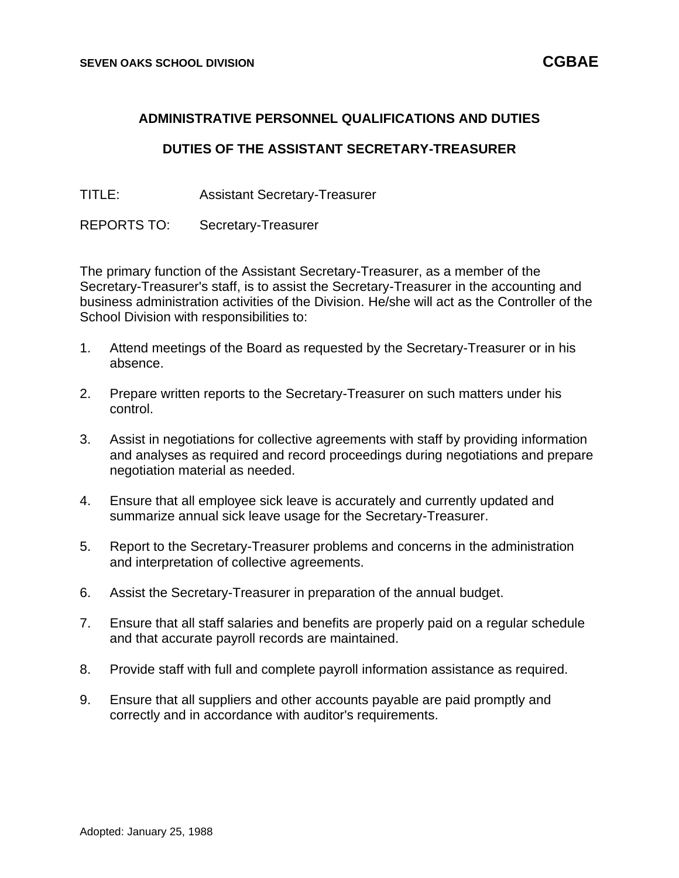## **ADMINISTRATIVE PERSONNEL QUALIFICATIONS AND DUTIES**

## **DUTIES OF THE ASSISTANT SECRETARY-TREASURER**

TITLE: Assistant Secretary-Treasurer

REPORTS TO: Secretary-Treasurer

The primary function of the Assistant Secretary-Treasurer, as a member of the Secretary-Treasurer's staff, is to assist the Secretary-Treasurer in the accounting and business administration activities of the Division. He/she will act as the Controller of the School Division with responsibilities to:

- 1. Attend meetings of the Board as requested by the Secretary-Treasurer or in his absence.
- 2. Prepare written reports to the Secretary-Treasurer on such matters under his control.
- 3. Assist in negotiations for collective agreements with staff by providing information and analyses as required and record proceedings during negotiations and prepare negotiation material as needed.
- 4. Ensure that all employee sick leave is accurately and currently updated and summarize annual sick leave usage for the Secretary-Treasurer.
- 5. Report to the Secretary-Treasurer problems and concerns in the administration and interpretation of collective agreements.
- 6. Assist the Secretary-Treasurer in preparation of the annual budget.
- 7. Ensure that all staff salaries and benefits are properly paid on a regular schedule and that accurate payroll records are maintained.
- 8. Provide staff with full and complete payroll information assistance as required.
- 9. Ensure that all suppliers and other accounts payable are paid promptly and correctly and in accordance with auditor's requirements.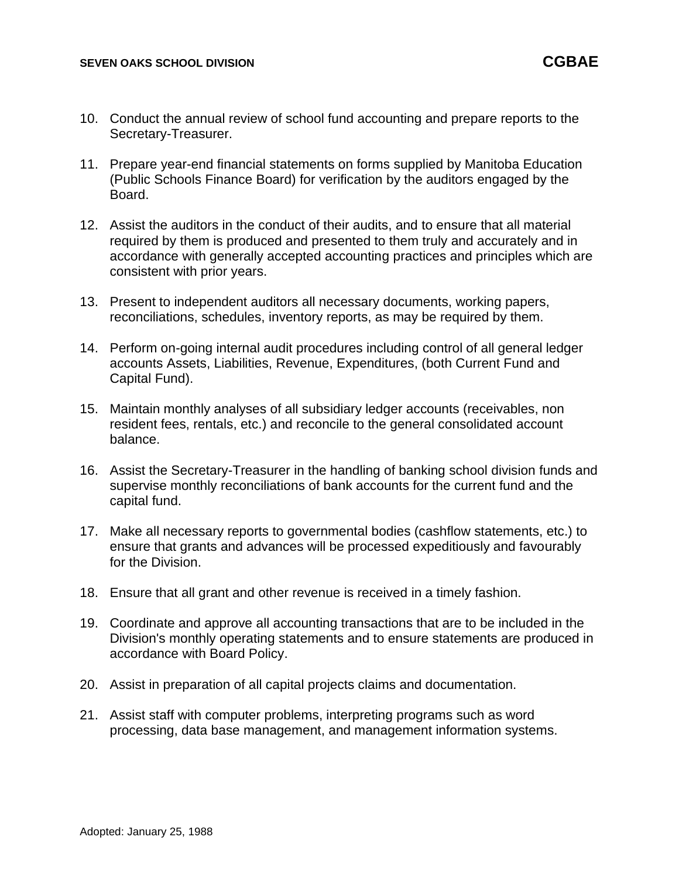- 10. Conduct the annual review of school fund accounting and prepare reports to the Secretary-Treasurer.
- 11. Prepare year-end financial statements on forms supplied by Manitoba Education (Public Schools Finance Board) for verification by the auditors engaged by the Board.
- 12. Assist the auditors in the conduct of their audits, and to ensure that all material required by them is produced and presented to them truly and accurately and in accordance with generally accepted accounting practices and principles which are consistent with prior years.
- 13. Present to independent auditors all necessary documents, working papers, reconciliations, schedules, inventory reports, as may be required by them.
- 14. Perform on-going internal audit procedures including control of all general ledger accounts Assets, Liabilities, Revenue, Expenditures, (both Current Fund and Capital Fund).
- 15. Maintain monthly analyses of all subsidiary ledger accounts (receivables, non resident fees, rentals, etc.) and reconcile to the general consolidated account balance.
- 16. Assist the Secretary-Treasurer in the handling of banking school division funds and supervise monthly reconciliations of bank accounts for the current fund and the capital fund.
- 17. Make all necessary reports to governmental bodies (cashflow statements, etc.) to ensure that grants and advances will be processed expeditiously and favourably for the Division.
- 18. Ensure that all grant and other revenue is received in a timely fashion.
- 19. Coordinate and approve all accounting transactions that are to be included in the Division's monthly operating statements and to ensure statements are produced in accordance with Board Policy.
- 20. Assist in preparation of all capital projects claims and documentation.
- 21. Assist staff with computer problems, interpreting programs such as word processing, data base management, and management information systems.